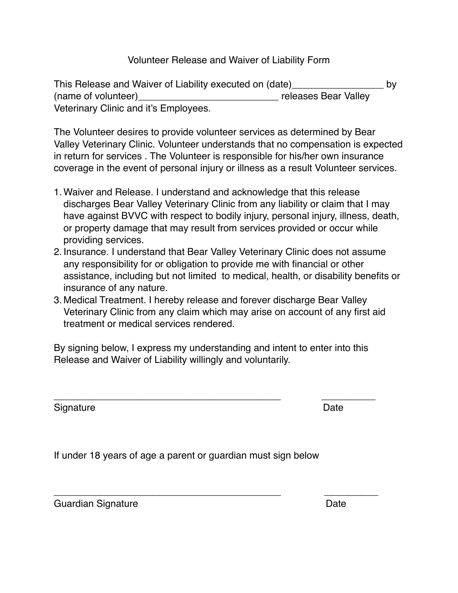## Volunteer Release and Waiver of Liability Form

This Release and Waiver of Liability executed on (date)\_\_\_\_\_\_\_\_\_\_\_\_\_\_\_\_\_ by (name of volunteer) example and the releases Bear Valley Veterinary Clinic and it's Employees.

The Volunteer desires to provide volunteer services as determined by Bear Valley Veterinary Clinic. Volunteer understands that no compensation is expected in return for services . The Volunteer is responsible for his/her own insurance coverage in the event of personal injury or illness as a result Volunteer services.

- 1. Waiver and Release. I understand and acknowledge that this release discharges Bear Valley Veterinary Clinic from any liability or claim that I may have against BVVC with respect to bodily injury, personal injury, illness, death, or property damage that may result from services provided or occur while providing services.
- 2. Insurance. I understand that Bear Valley Veterinary Clinic does not assume any responsibility for or obligation to provide me with financial or other assistance, including but not limited to medical, health, or disability benefits or insurance of any nature.
- 3. Medical Treatment. I hereby release and forever discharge Bear Valley Veterinary Clinic from any claim which may arise on account of any first aid treatment or medical services rendered.

By signing below, I express my understanding and intent to enter into this Release and Waiver of Liability willingly and voluntarily.

\_\_\_\_\_\_\_\_\_\_\_\_\_\_\_\_\_\_\_\_\_\_\_\_\_\_\_\_\_\_\_\_\_\_\_\_\_\_\_\_\_\_ \_\_\_\_\_\_\_\_\_\_

\_\_\_\_\_\_\_\_\_\_\_\_\_\_\_\_\_\_\_\_\_\_\_\_\_\_\_\_\_\_\_\_\_\_\_\_\_\_\_\_\_\_ \_\_\_\_\_\_\_\_\_\_

Signature **Date** 

If under 18 years of age a parent or guardian must sign below

Guardian Signature **Internal Signature Contract Contract Contract Contract Contract Contract Contract Contract Contract Contract Contract Contract Contract Contract Contract Contract Contract Contract Contract Contract C**